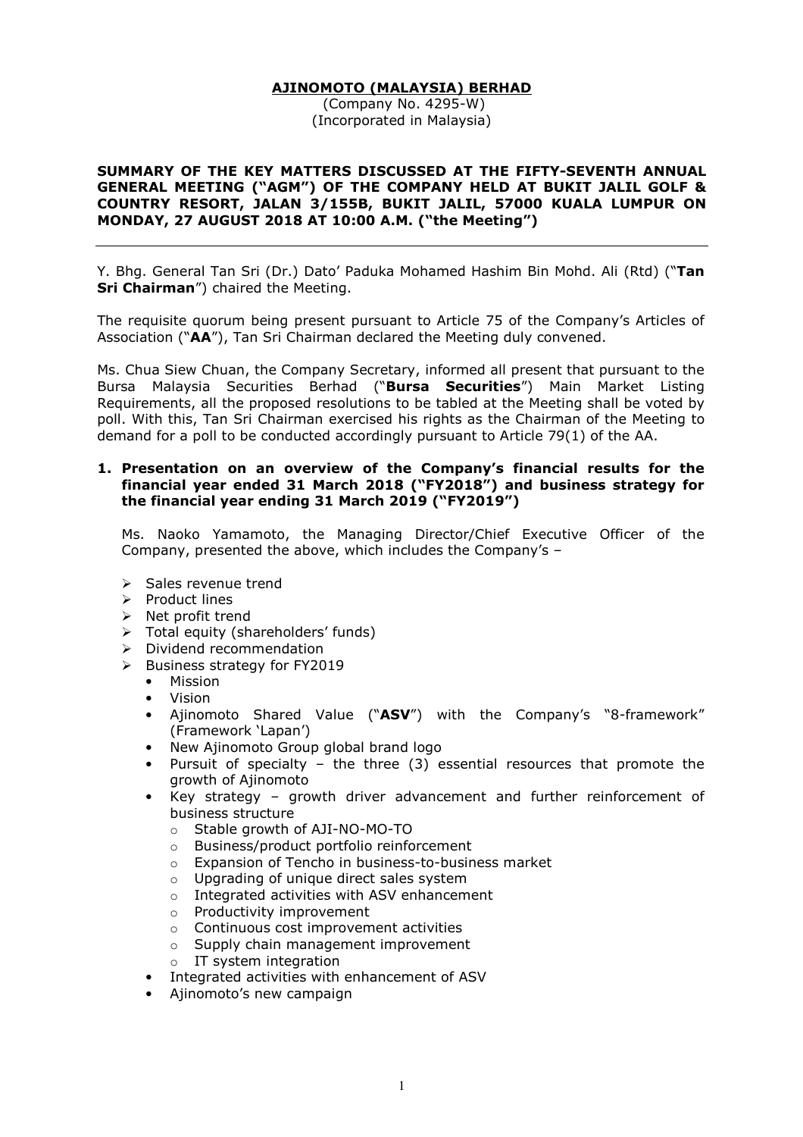## AJINOMOTO (MALAYSIA) BERHAD

 (Company No. 4295-W) (Incorporated in Malaysia)

## SUMMARY OF THE KEY MATTERS DISCUSSED AT THE FIFTY-SEVENTH ANNUAL GENERAL MEETING ("AGM") OF THE COMPANY HELD AT BUKIT JALIL GOLF & COUNTRY RESORT, JALAN 3/155B, BUKIT JALIL, 57000 KUALA LUMPUR ON MONDAY, 27 AUGUST 2018 AT 10:00 A.M. ("the Meeting")

Y. Bhg. General Tan Sri (Dr.) Dato' Paduka Mohamed Hashim Bin Mohd. Ali (Rtd) ("Tan Sri Chairman") chaired the Meeting.

The requisite quorum being present pursuant to Article 75 of the Company's Articles of Association ("AA"), Tan Sri Chairman declared the Meeting duly convened.

Ms. Chua Siew Chuan, the Company Secretary, informed all present that pursuant to the Bursa Malaysia Securities Berhad ("Bursa Securities") Main Market Listing Requirements, all the proposed resolutions to be tabled at the Meeting shall be voted by poll. With this, Tan Sri Chairman exercised his rights as the Chairman of the Meeting to demand for a poll to be conducted accordingly pursuant to Article 79(1) of the AA.

### 1. Presentation on an overview of the Company's financial results for the financial year ended 31 March 2018 ("FY2018") and business strategy for the financial year ending 31 March 2019 ("FY2019")

Ms. Naoko Yamamoto, the Managing Director/Chief Executive Officer of the Company, presented the above, which includes the Company's –

- $\triangleright$  Sales revenue trend
- $\triangleright$  Product lines
- $\triangleright$  Net profit trend
- $\triangleright$  Total equity (shareholders' funds)
- $\triangleright$  Dividend recommendation
- $\triangleright$  Business strategy for FY2019
	- Mission
	- Vision
	- Ajinomoto Shared Value ("ASV") with the Company's "8-framework" (Framework 'Lapan')
	- New Ajinomoto Group global brand logo
	- Pursuit of specialty the three  $(3)$  essential resources that promote the growth of Ajinomoto
	- Key strategy growth driver advancement and further reinforcement of business structure
		- o Stable growth of AJI-NO-MO-TO
		- o Business/product portfolio reinforcement
		- o Expansion of Tencho in business-to-business market
		- o Upgrading of unique direct sales system
		- o Integrated activities with ASV enhancement
		- o Productivity improvement
		- o Continuous cost improvement activities
		- o Supply chain management improvement
		- o IT system integration
	- Integrated activities with enhancement of ASV
	- Ajinomoto's new campaign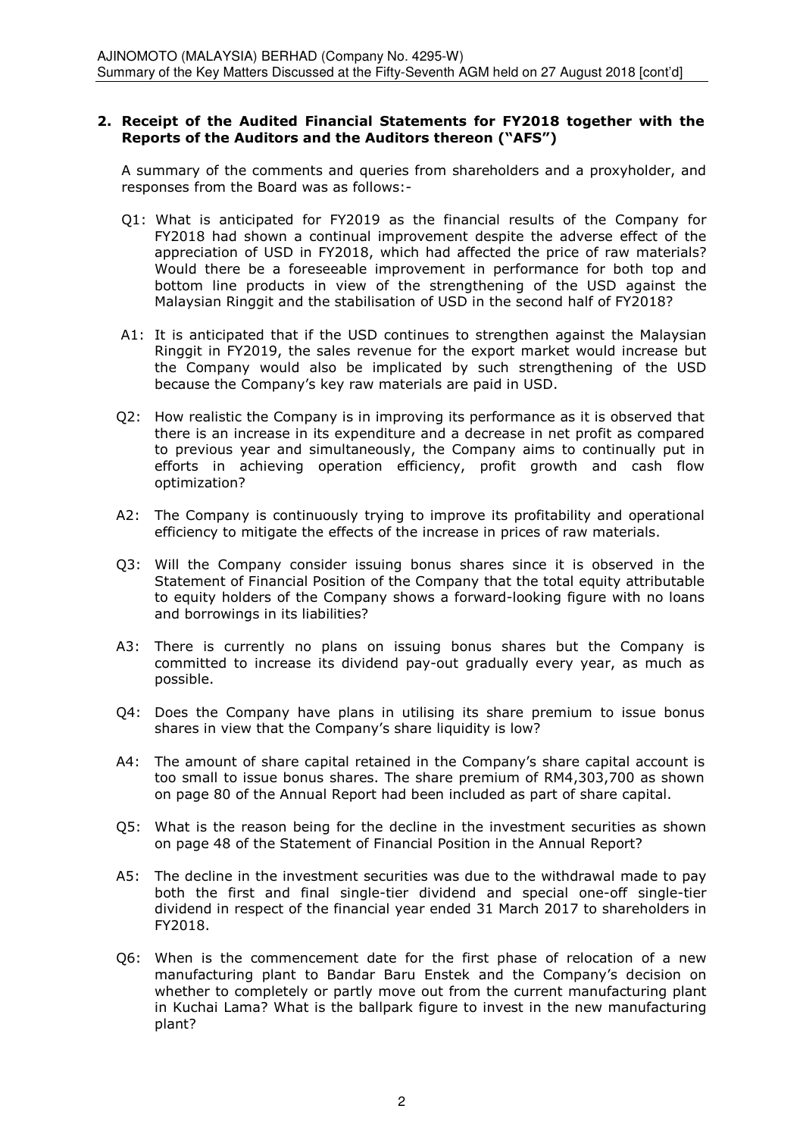## 2. Receipt of the Audited Financial Statements for FY2018 together with the Reports of the Auditors and the Auditors thereon ("AFS")

 A summary of the comments and queries from shareholders and a proxyholder, and responses from the Board was as follows:-

- Q1: What is anticipated for FY2019 as the financial results of the Company for FY2018 had shown a continual improvement despite the adverse effect of the appreciation of USD in FY2018, which had affected the price of raw materials? Would there be a foreseeable improvement in performance for both top and bottom line products in view of the strengthening of the USD against the Malaysian Ringgit and the stabilisation of USD in the second half of FY2018?
- A1: It is anticipated that if the USD continues to strengthen against the Malaysian Ringgit in FY2019, the sales revenue for the export market would increase but the Company would also be implicated by such strengthening of the USD because the Company's key raw materials are paid in USD.
- Q2: How realistic the Company is in improving its performance as it is observed that there is an increase in its expenditure and a decrease in net profit as compared to previous year and simultaneously, the Company aims to continually put in efforts in achieving operation efficiency, profit growth and cash flow optimization?
- A2: The Company is continuously trying to improve its profitability and operational efficiency to mitigate the effects of the increase in prices of raw materials.
- Q3: Will the Company consider issuing bonus shares since it is observed in the Statement of Financial Position of the Company that the total equity attributable to equity holders of the Company shows a forward-looking figure with no loans and borrowings in its liabilities?
- A3: There is currently no plans on issuing bonus shares but the Company is committed to increase its dividend pay-out gradually every year, as much as possible.
- Q4: Does the Company have plans in utilising its share premium to issue bonus shares in view that the Company's share liquidity is low?
- A4: The amount of share capital retained in the Company's share capital account is too small to issue bonus shares. The share premium of RM4,303,700 as shown on page 80 of the Annual Report had been included as part of share capital.
- Q5: What is the reason being for the decline in the investment securities as shown on page 48 of the Statement of Financial Position in the Annual Report?
- A5: The decline in the investment securities was due to the withdrawal made to pay both the first and final single-tier dividend and special one-off single-tier dividend in respect of the financial year ended 31 March 2017 to shareholders in FY2018.
- Q6: When is the commencement date for the first phase of relocation of a new manufacturing plant to Bandar Baru Enstek and the Company's decision on whether to completely or partly move out from the current manufacturing plant in Kuchai Lama? What is the ballpark figure to invest in the new manufacturing plant?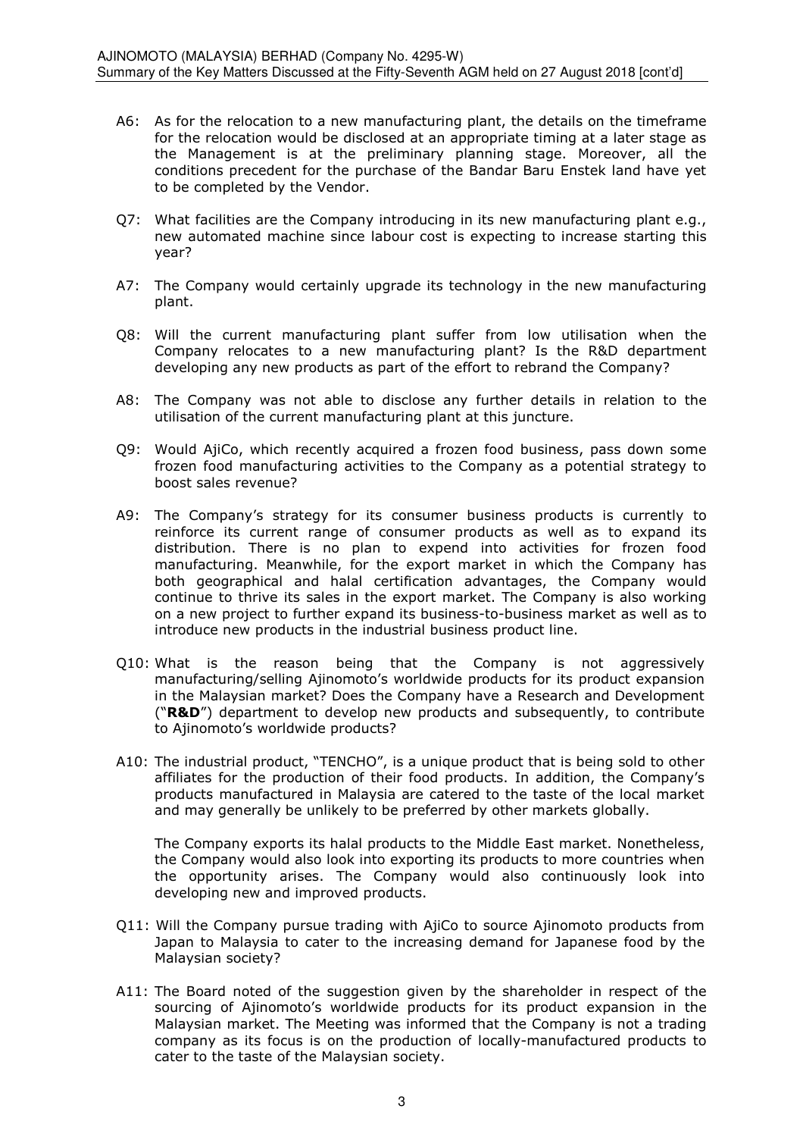- A6: As for the relocation to a new manufacturing plant, the details on the timeframe for the relocation would be disclosed at an appropriate timing at a later stage as the Management is at the preliminary planning stage. Moreover, all the conditions precedent for the purchase of the Bandar Baru Enstek land have yet to be completed by the Vendor.
- Q7: What facilities are the Company introducing in its new manufacturing plant e.g., new automated machine since labour cost is expecting to increase starting this year?
- A7: The Company would certainly upgrade its technology in the new manufacturing plant.
- Q8: Will the current manufacturing plant suffer from low utilisation when the Company relocates to a new manufacturing plant? Is the R&D department developing any new products as part of the effort to rebrand the Company?
- A8: The Company was not able to disclose any further details in relation to the utilisation of the current manufacturing plant at this juncture.
- Q9: Would AjiCo, which recently acquired a frozen food business, pass down some frozen food manufacturing activities to the Company as a potential strategy to boost sales revenue?
- A9: The Company's strategy for its consumer business products is currently to reinforce its current range of consumer products as well as to expand its distribution. There is no plan to expend into activities for frozen food manufacturing. Meanwhile, for the export market in which the Company has both geographical and halal certification advantages, the Company would continue to thrive its sales in the export market. The Company is also working on a new project to further expand its business-to-business market as well as to introduce new products in the industrial business product line.
- Q10: What is the reason being that the Company is not aggressively manufacturing/selling Ajinomoto's worldwide products for its product expansion in the Malaysian market? Does the Company have a Research and Development (" $R&D$ ) department to develop new products and subsequently, to contribute to Ajinomoto's worldwide products?
- A10: The industrial product, "TENCHO", is a unique product that is being sold to other affiliates for the production of their food products. In addition, the Company's products manufactured in Malaysia are catered to the taste of the local market and may generally be unlikely to be preferred by other markets globally.

The Company exports its halal products to the Middle East market. Nonetheless, the Company would also look into exporting its products to more countries when the opportunity arises. The Company would also continuously look into developing new and improved products.

- Q11: Will the Company pursue trading with AjiCo to source Ajinomoto products from Japan to Malaysia to cater to the increasing demand for Japanese food by the Malaysian society?
- A11: The Board noted of the suggestion given by the shareholder in respect of the sourcing of Ajinomoto's worldwide products for its product expansion in the Malaysian market. The Meeting was informed that the Company is not a trading company as its focus is on the production of locally-manufactured products to cater to the taste of the Malaysian society.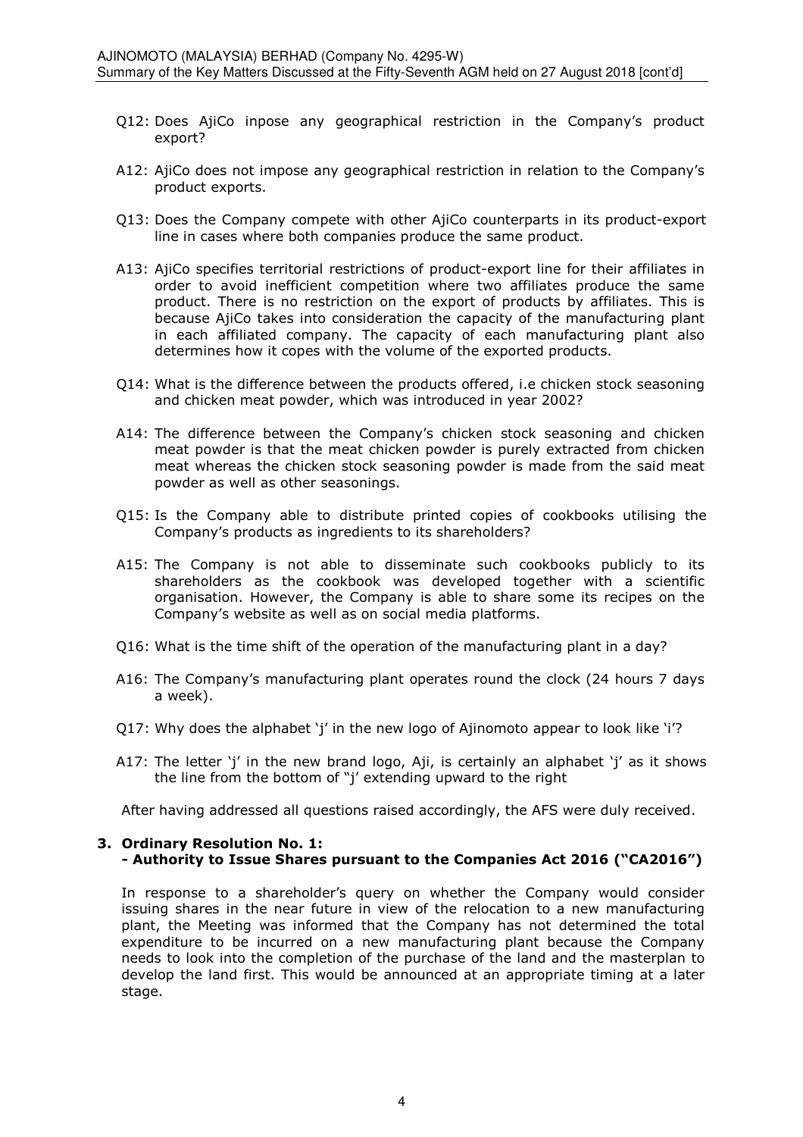- Q12: Does AjiCo inpose any geographical restriction in the Company's product export?
- A12: AjiCo does not impose any geographical restriction in relation to the Company's product exports.
- Q13: Does the Company compete with other AjiCo counterparts in its product-export line in cases where both companies produce the same product.
- A13: AjiCo specifies territorial restrictions of product-export line for their affiliates in order to avoid inefficient competition where two affiliates produce the same product. There is no restriction on the export of products by affiliates. This is because AjiCo takes into consideration the capacity of the manufacturing plant in each affiliated company. The capacity of each manufacturing plant also determines how it copes with the volume of the exported products.
- Q14: What is the difference between the products offered, i.e chicken stock seasoning and chicken meat powder, which was introduced in year 2002?
- A14: The difference between the Company's chicken stock seasoning and chicken meat powder is that the meat chicken powder is purely extracted from chicken meat whereas the chicken stock seasoning powder is made from the said meat powder as well as other seasonings.
- Q15: Is the Company able to distribute printed copies of cookbooks utilising the Company's products as ingredients to its shareholders?
- A15: The Company is not able to disseminate such cookbooks publicly to its shareholders as the cookbook was developed together with a scientific organisation. However, the Company is able to share some its recipes on the Company's website as well as on social media platforms.
- Q16: What is the time shift of the operation of the manufacturing plant in a day?
- A16: The Company's manufacturing plant operates round the clock (24 hours 7 days a week).
- Q17: Why does the alphabet 'j' in the new logo of Ajinomoto appear to look like 'i'?
- A17: The letter 'j' in the new brand logo, Aji, is certainly an alphabet 'j' as it shows the line from the bottom of "j' extending upward to the right

After having addressed all questions raised accordingly, the AFS were duly received.

### 3. Ordinary Resolution No. 1: - Authority to Issue Shares pursuant to the Companies Act 2016 ("CA2016")

In response to a shareholder's query on whether the Company would consider issuing shares in the near future in view of the relocation to a new manufacturing plant, the Meeting was informed that the Company has not determined the total expenditure to be incurred on a new manufacturing plant because the Company needs to look into the completion of the purchase of the land and the masterplan to develop the land first. This would be announced at an appropriate timing at a later stage.